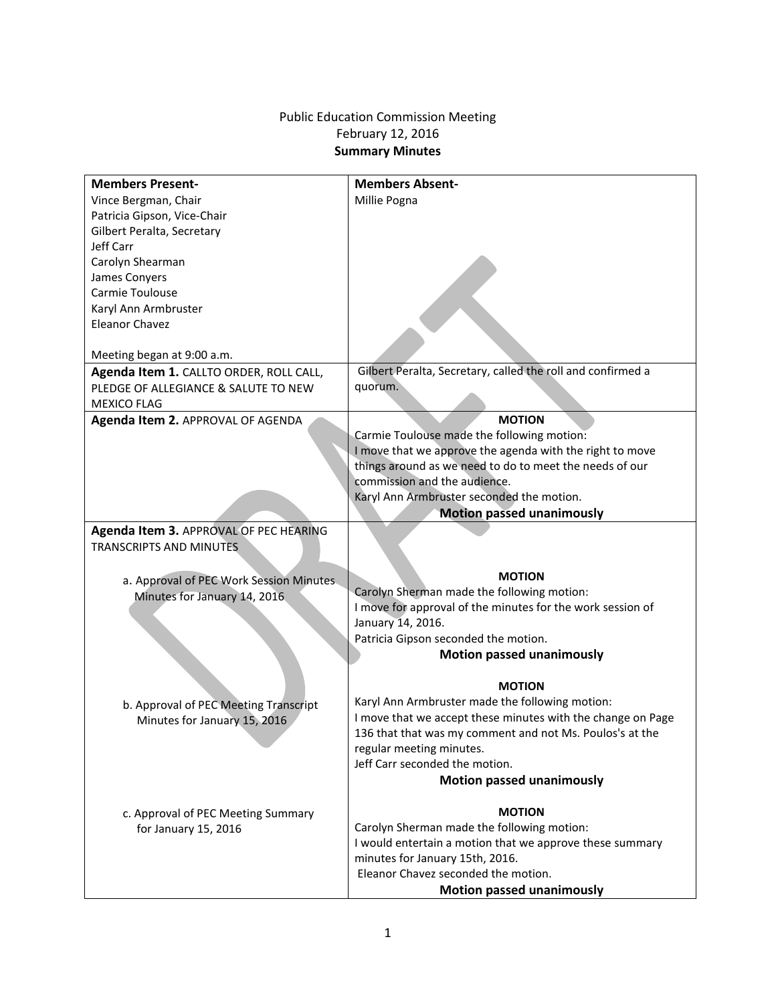## Public Education Commission Meeting February 12, 2016 **Summary Minutes**

| <b>Members Present-</b>                 | <b>Members Absent-</b>                                      |
|-----------------------------------------|-------------------------------------------------------------|
| Vince Bergman, Chair                    | Millie Pogna                                                |
| Patricia Gipson, Vice-Chair             |                                                             |
| Gilbert Peralta, Secretary              |                                                             |
| Jeff Carr                               |                                                             |
| Carolyn Shearman                        |                                                             |
| James Conyers                           |                                                             |
| Carmie Toulouse                         |                                                             |
| Karyl Ann Armbruster                    |                                                             |
| <b>Eleanor Chavez</b>                   |                                                             |
|                                         |                                                             |
| Meeting began at 9:00 a.m.              |                                                             |
| Agenda Item 1. CALLTO ORDER, ROLL CALL, | Gilbert Peralta, Secretary, called the roll and confirmed a |
| PLEDGE OF ALLEGIANCE & SALUTE TO NEW    | quorum.                                                     |
| <b>MEXICO FLAG</b>                      |                                                             |
| Agenda Item 2. APPROVAL OF AGENDA       | <b>MOTION</b>                                               |
|                                         | Carmie Toulouse made the following motion:                  |
|                                         | I move that we approve the agenda with the right to move    |
|                                         | things around as we need to do to meet the needs of our     |
|                                         | commission and the audience.                                |
|                                         | Karyl Ann Armbruster seconded the motion.                   |
|                                         | <b>Motion passed unanimously</b>                            |
| Agenda Item 3. APPROVAL OF PEC HEARING  |                                                             |
| <b>TRANSCRIPTS AND MINUTES</b>          |                                                             |
|                                         |                                                             |
| a. Approval of PEC Work Session Minutes | <b>MOTION</b>                                               |
| Minutes for January 14, 2016.           | Carolyn Sherman made the following motion:                  |
|                                         | I move for approval of the minutes for the work session of  |
|                                         | January 14, 2016.                                           |
|                                         | Patricia Gipson seconded the motion.                        |
|                                         | <b>Motion passed unanimously</b>                            |
|                                         |                                                             |
|                                         | <b>MOTION</b>                                               |
| b. Approval of PEC Meeting Transcript   | Karyl Ann Armbruster made the following motion:             |
| Minutes for January 15, 2016            | I move that we accept these minutes with the change on Page |
|                                         | 136 that that was my comment and not Ms. Poulos's at the    |
|                                         | regular meeting minutes.                                    |
|                                         | Jeff Carr seconded the motion.                              |
|                                         | <b>Motion passed unanimously</b>                            |
|                                         |                                                             |
| c. Approval of PEC Meeting Summary      | <b>MOTION</b>                                               |
| for January 15, 2016                    | Carolyn Sherman made the following motion:                  |
|                                         | I would entertain a motion that we approve these summary    |
|                                         | minutes for January 15th, 2016.                             |
|                                         | Eleanor Chavez seconded the motion.                         |
|                                         | <b>Motion passed unanimously</b>                            |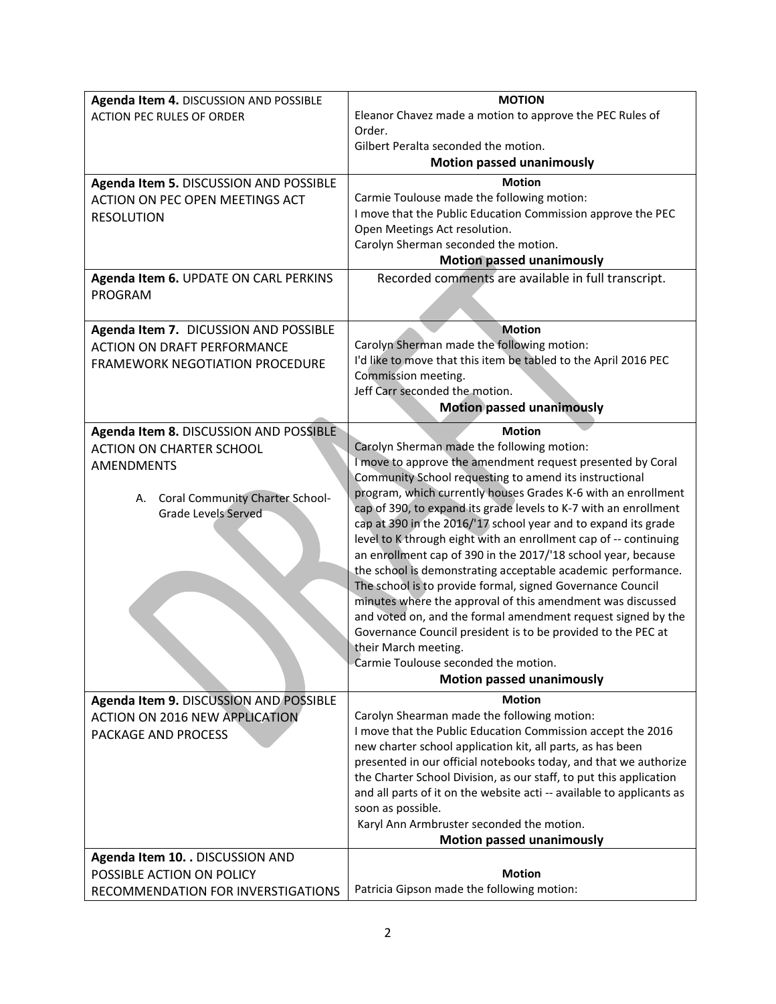| Agenda Item 4. DISCUSSION AND POSSIBLE | <b>MOTION</b>                                                                                                                               |
|----------------------------------------|---------------------------------------------------------------------------------------------------------------------------------------------|
| <b>ACTION PEC RULES OF ORDER</b>       | Eleanor Chavez made a motion to approve the PEC Rules of                                                                                    |
|                                        | Order.                                                                                                                                      |
|                                        | Gilbert Peralta seconded the motion.                                                                                                        |
|                                        | <b>Motion passed unanimously</b>                                                                                                            |
| Agenda Item 5. DISCUSSION AND POSSIBLE | <b>Motion</b>                                                                                                                               |
| ACTION ON PEC OPEN MEETINGS ACT        | Carmie Toulouse made the following motion:                                                                                                  |
| <b>RESOLUTION</b>                      | I move that the Public Education Commission approve the PEC                                                                                 |
|                                        | Open Meetings Act resolution.                                                                                                               |
|                                        | Carolyn Sherman seconded the motion.                                                                                                        |
|                                        | <b>Motion passed unanimously</b>                                                                                                            |
| Agenda Item 6. UPDATE ON CARL PERKINS  | Recorded comments are available in full transcript.                                                                                         |
| PROGRAM                                |                                                                                                                                             |
|                                        |                                                                                                                                             |
| Agenda Item 7. DICUSSION AND POSSIBLE  | <b>Motion</b>                                                                                                                               |
| <b>ACTION ON DRAFT PERFORMANCE</b>     | Carolyn Sherman made the following motion:                                                                                                  |
| <b>FRAMEWORK NEGOTIATION PROCEDURE</b> | I'd like to move that this item be tabled to the April 2016 PEC                                                                             |
|                                        | Commission meeting.                                                                                                                         |
|                                        | Jeff Carr seconded the motion.                                                                                                              |
|                                        | <b>Motion passed unanimously</b>                                                                                                            |
| Agenda Item 8. DISCUSSION AND POSSIBLE | <b>Motion</b>                                                                                                                               |
| <b>ACTION ON CHARTER SCHOOL</b>        | Carolyn Sherman made the following motion:                                                                                                  |
| <b>AMENDMENTS</b>                      | I move to approve the amendment request presented by Coral                                                                                  |
|                                        | Community School requesting to amend its instructional                                                                                      |
| A. Coral Community Charter School-     | program, which currently houses Grades K-6 with an enrollment                                                                               |
| <b>Grade Levels Served</b>             | cap of 390, to expand its grade levels to K-7 with an enrollment                                                                            |
|                                        | cap at 390 in the 2016/'17 school year and to expand its grade                                                                              |
|                                        | level to K through eight with an enrollment cap of -- continuing                                                                            |
|                                        | an enrollment cap of 390 in the 2017/'18 school year, because                                                                               |
|                                        | the school is demonstrating acceptable academic performance.                                                                                |
|                                        | The school is to provide formal, signed Governance Council                                                                                  |
|                                        | minutes where the approval of this amendment was discussed                                                                                  |
|                                        | and voted on, and the formal amendment request signed by the                                                                                |
|                                        | Governance Council president is to be provided to the PEC at                                                                                |
|                                        | their March meeting.                                                                                                                        |
|                                        | Carmie Toulouse seconded the motion.                                                                                                        |
|                                        | <b>Motion passed unanimously</b>                                                                                                            |
| Agenda Item 9. DISCUSSION AND POSSIBLE | <b>Motion</b>                                                                                                                               |
| <b>ACTION ON 2016 NEW APPLICATION</b>  | Carolyn Shearman made the following motion:                                                                                                 |
| PACKAGE AND PROCESS                    | I move that the Public Education Commission accept the 2016                                                                                 |
|                                        | new charter school application kit, all parts, as has been                                                                                  |
|                                        | presented in our official notebooks today, and that we authorize                                                                            |
|                                        | the Charter School Division, as our staff, to put this application<br>and all parts of it on the website acti -- available to applicants as |
|                                        | soon as possible.                                                                                                                           |
|                                        | Karyl Ann Armbruster seconded the motion.                                                                                                   |
|                                        | <b>Motion passed unanimously</b>                                                                                                            |
| Agenda Item 10. . DISCUSSION AND       |                                                                                                                                             |
| POSSIBLE ACTION ON POLICY              | <b>Motion</b>                                                                                                                               |
|                                        | Patricia Gipson made the following motion:                                                                                                  |
| RECOMMENDATION FOR INVERSTIGATIONS     |                                                                                                                                             |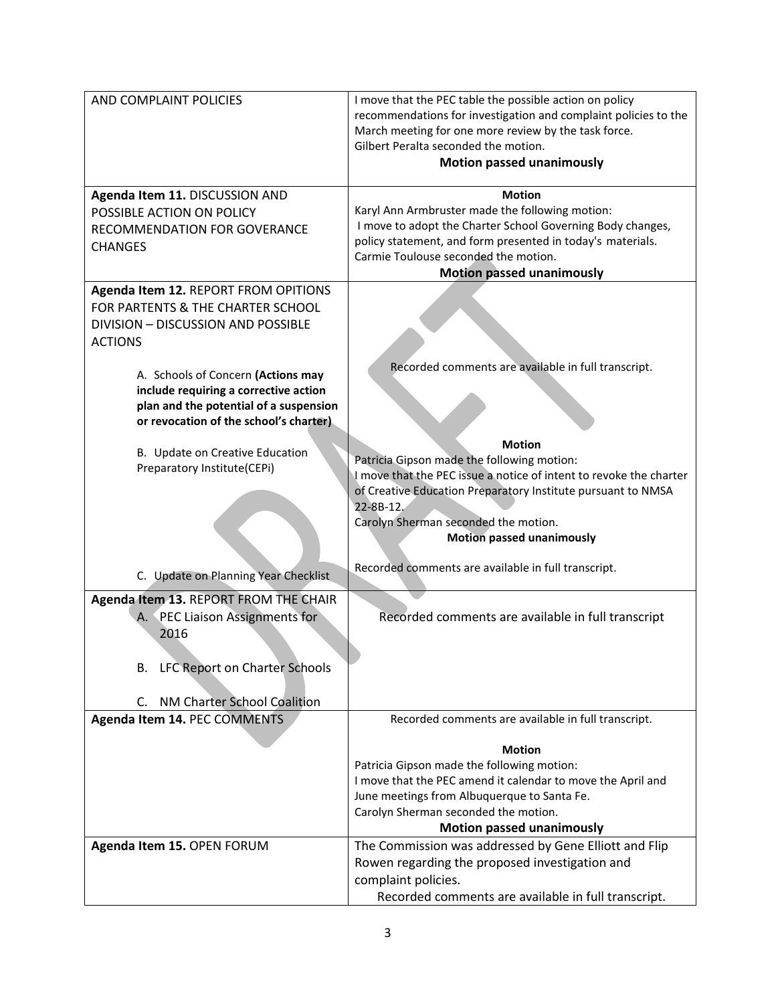| AND COMPLAINT POLICIES                                                                                                                                                                                           | I move that the PEC table the possible action on policy<br>recommendations for investigation and complaint policies to the<br>March meeting for one more review by the task force.<br>Gilbert Peralta seconded the motion.<br><b>Motion passed unanimously</b>           |
|------------------------------------------------------------------------------------------------------------------------------------------------------------------------------------------------------------------|--------------------------------------------------------------------------------------------------------------------------------------------------------------------------------------------------------------------------------------------------------------------------|
| Agenda Item 11. DISCUSSION AND<br>POSSIBLE ACTION ON POLICY<br>RECOMMENDATION FOR GOVERANCE<br><b>CHANGES</b>                                                                                                    | <b>Motion</b><br>Karyl Ann Armbruster made the following motion:<br>I move to adopt the Charter School Governing Body changes,<br>policy statement, and form presented in today's materials.<br>Carmie Toulouse seconded the motion.<br><b>Motion passed unanimously</b> |
| Agenda Item 12. REPORT FROM OPITIONS<br>FOR PARTENTS & THE CHARTER SCHOOL<br>DIVISION - DISCUSSION AND POSSIBLE<br><b>ACTIONS</b><br>A. Schools of Concern (Actions may<br>include requiring a corrective action | Recorded comments are available in full transcript.                                                                                                                                                                                                                      |
| plan and the potential of a suspension<br>or revocation of the school's charter)<br>B. Update on Creative Education<br>Preparatory Institute(CEPi)                                                               | <b>Motion</b><br>Patricia Gipson made the following motion:<br>I move that the PEC issue a notice of intent to revoke the charter                                                                                                                                        |
|                                                                                                                                                                                                                  | of Creative Education Preparatory Institute pursuant to NMSA<br>22-8B-12.<br>Carolyn Sherman seconded the motion.<br><b>Motion passed unanimously</b><br>Recorded comments are available in full transcript.                                                             |
| C. Update on Planning Year Checklist<br>Agenda Item 13. REPORT FROM THE CHAIR<br>A. PEC Liaison Assignments for<br>2016                                                                                          | Recorded comments are available in full transcript                                                                                                                                                                                                                       |
| <b>LFC Report on Charter Schools</b><br>В.<br>NM Charter School Coalition<br>C.<br>Agenda Item 14. PEC COMMENTS                                                                                                  | Recorded comments are available in full transcript.                                                                                                                                                                                                                      |
|                                                                                                                                                                                                                  | <b>Motion</b><br>Patricia Gipson made the following motion:<br>I move that the PEC amend it calendar to move the April and<br>June meetings from Albuquerque to Santa Fe.<br>Carolyn Sherman seconded the motion.<br><b>Motion passed unanimously</b>                    |
| Agenda Item 15. OPEN FORUM                                                                                                                                                                                       | The Commission was addressed by Gene Elliott and Flip<br>Rowen regarding the proposed investigation and<br>complaint policies.<br>Recorded comments are available in full transcript.                                                                                    |